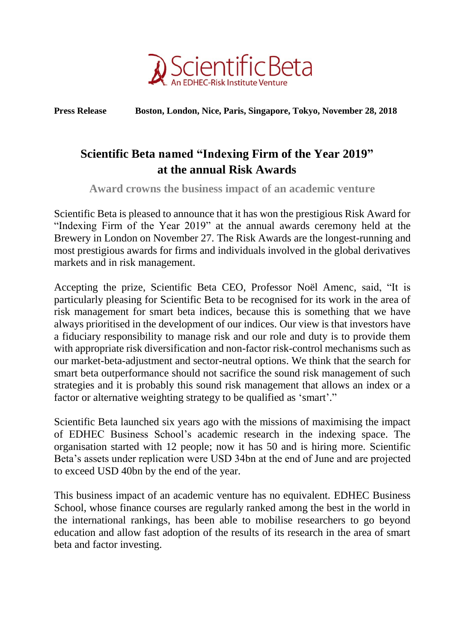

**Press Release Boston, London, Nice, Paris, Singapore, Tokyo, November 28, 2018**

# **Scientific Beta named "Indexing Firm of the Year 2019" at the annual Risk Awards**

**Award crowns the business impact of an academic venture**

Scientific Beta is pleased to announce that it has won the prestigious Risk Award for "Indexing Firm of the Year 2019" at the annual awards ceremony held at the Brewery in London on November 27. The Risk Awards are the longest-running and most prestigious awards for firms and individuals involved in the global derivatives markets and in risk management.

Accepting the prize, Scientific Beta CEO, Professor Noël Amenc, said, "It is particularly pleasing for Scientific Beta to be recognised for its work in the area of risk management for smart beta indices, because this is something that we have always prioritised in the development of our indices. Our view is that investors have a fiduciary responsibility to manage risk and our role and duty is to provide them with appropriate risk diversification and non-factor risk-control mechanisms such as our market-beta-adjustment and sector-neutral options. We think that the search for smart beta outperformance should not sacrifice the sound risk management of such strategies and it is probably this sound risk management that allows an index or a factor or alternative weighting strategy to be qualified as 'smart'."

Scientific Beta launched six years ago with the missions of maximising the impact of EDHEC Business School's academic research in the indexing space. The organisation started with 12 people; now it has 50 and is hiring more. Scientific Beta's assets under replication were USD 34bn at the end of June and are projected to exceed USD 40bn by the end of the year.

This business impact of an academic venture has no equivalent. EDHEC Business School, whose finance courses are regularly ranked among the best in the world in the international rankings, has been able to mobilise researchers to go beyond education and allow fast adoption of the results of its research in the area of smart beta and factor investing.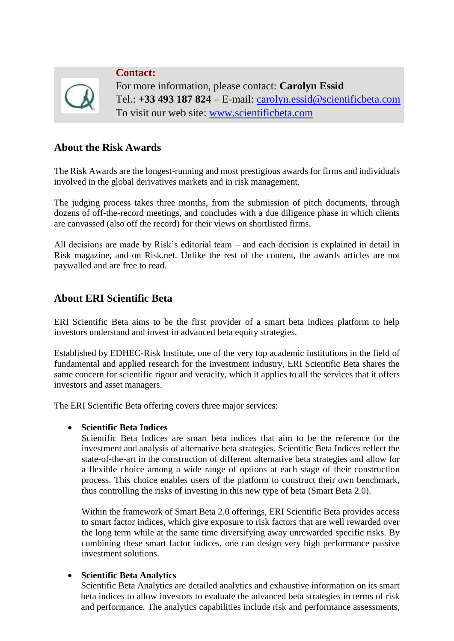

**Contact:** For more information, please contact: **Carolyn Essid** Tel.: **+33 493 187 824** – E-mail: [carolyn.essid@scientificbeta.com](mailto:carolyn.essid@scientificbeta.com) To visit our web site: [www.scientificbeta.com](http://www.scientificbeta.com/)

## **About the Risk Awards**

The Risk Awards are the longest-running and most prestigious awards for firms and individuals involved in the global derivatives markets and in risk management.

The judging process takes three months, from the submission of pitch documents, through dozens of off-the-record meetings, and concludes with a due diligence phase in which clients are canvassed (also off the record) for their views on shortlisted firms.

All decisions are made by Risk's editorial team – and each decision is explained in detail in Risk magazine, and on Risk.net. Unlike the rest of the content, the awards articles are not paywalled and are free to read.

## **About ERI Scientific Beta**

ERI Scientific Beta aims to be the first provider of a smart beta indices platform to help investors understand and invest in advanced beta equity strategies.

Established by EDHEC-Risk Institute, one of the very top academic institutions in the field of fundamental and applied research for the investment industry, ERI Scientific Beta shares the same concern for scientific rigour and veracity, which it applies to all the services that it offers investors and asset managers.

The ERI Scientific Beta offering covers three major services:

### **Scientific Beta Indices**

Scientific Beta Indices are smart beta indices that aim to be the reference for the investment and analysis of alternative beta strategies. Scientific Beta Indices reflect the state-of-the-art in the construction of different alternative beta strategies and allow for a flexible choice among a wide range of options at each stage of their construction process. This choice enables users of the platform to construct their own benchmark, thus controlling the risks of investing in this new type of beta (Smart Beta 2.0).

Within the framework of Smart Beta 2.0 offerings, ERI Scientific Beta provides access to smart factor indices, which give exposure to risk factors that are well rewarded over the long term while at the same time diversifying away unrewarded specific risks. By combining these smart factor indices, one can design very high performance passive investment solutions.

### **Scientific Beta Analytics**

Scientific Beta Analytics are detailed analytics and exhaustive information on its smart beta indices to allow investors to evaluate the advanced beta strategies in terms of risk and performance. The analytics capabilities include risk and performance assessments,